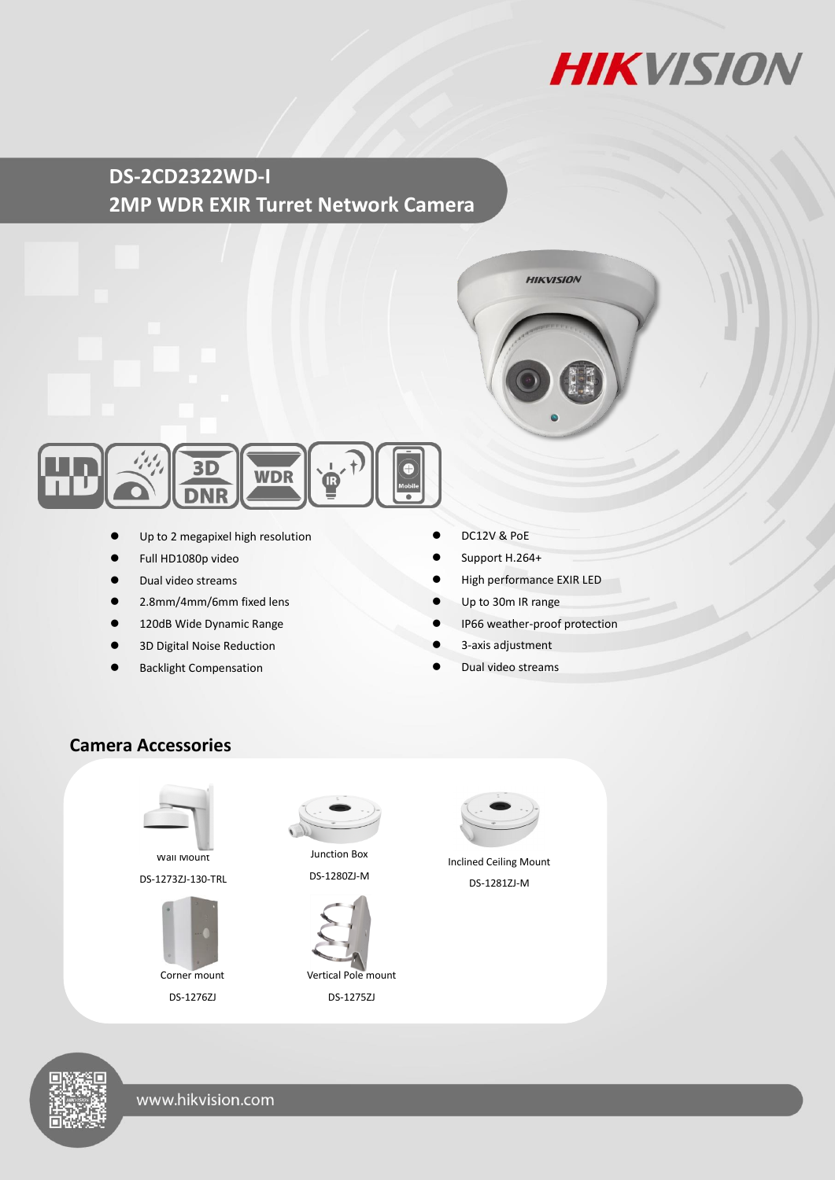

## **DS-2CD2322WD-I 2MP WDR EXIR Turret Network Camera**





- Up to 2 megapixel high resolution
- Full HD1080p video
- Dual video streams
- 2.8mm/4mm/6mm fixed lens
- 120dB Wide Dynamic Range
- 3D Digital Noise Reduction
- Backlight Compensation
- DC12V & PoE
- Support H.264+
- High performance EXIR LED
- Up to 30m IR range
- IP66 weather-proof protection
- 3-axis adjustment
- Dual video streams

#### **Camera Accessories**



Wall Mount DS-1273ZJ-130-TRL



DS-1276ZJ



Junction Box DS-1280ZJ-M



DS-1275ZJ



Inclined Ceiling Mount DS-1281ZJ-M

www.hikvision.com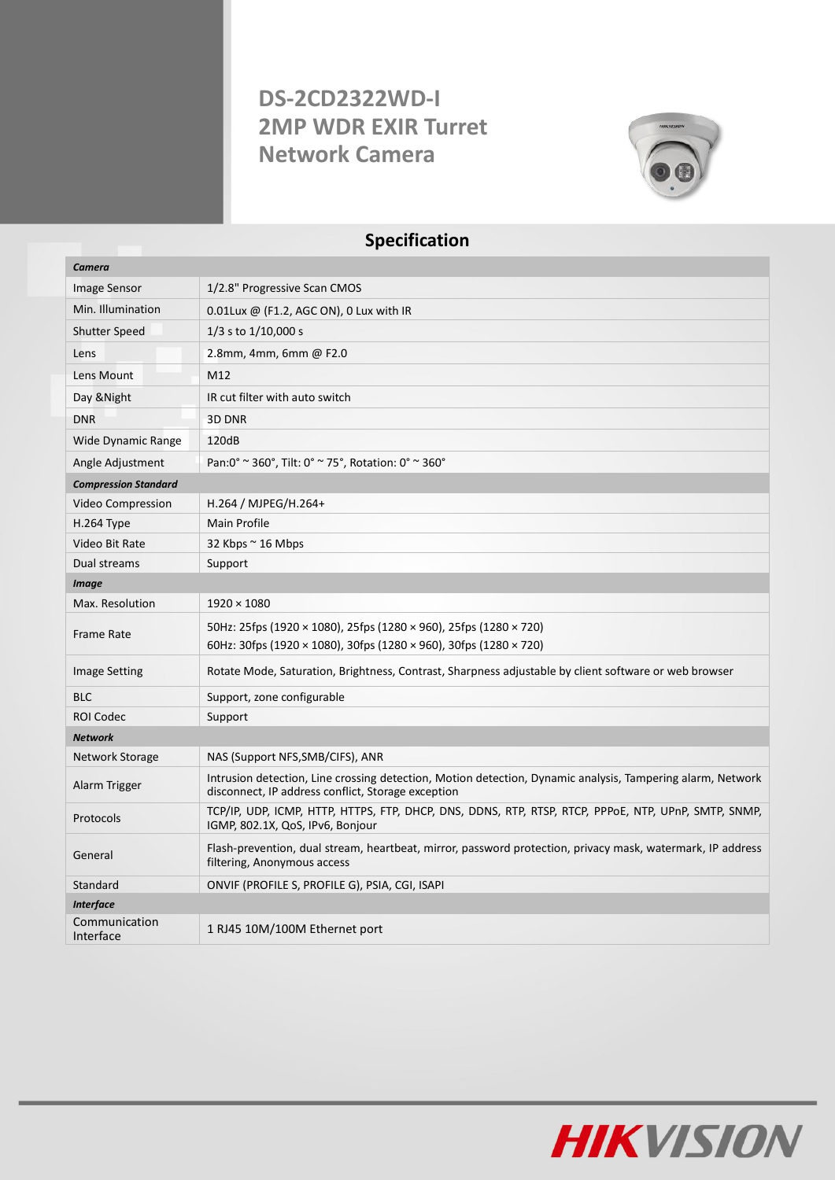# **DS-2CD2322WD-I 2MP WDR EXIR Turret Network Camera**



### **Specification**

| Camera                      |                                                                                                                                                                  |  |
|-----------------------------|------------------------------------------------------------------------------------------------------------------------------------------------------------------|--|
| Image Sensor                | 1/2.8" Progressive Scan CMOS                                                                                                                                     |  |
| Min. Illumination           | 0.01Lux @ (F1.2, AGC ON), 0 Lux with IR                                                                                                                          |  |
| <b>Shutter Speed</b>        | $1/3$ s to $1/10,000$ s                                                                                                                                          |  |
| Lens                        | 2.8mm, 4mm, 6mm @ F2.0                                                                                                                                           |  |
| Lens Mount                  | M12                                                                                                                                                              |  |
| Day & Night                 | IR cut filter with auto switch                                                                                                                                   |  |
| <b>DNR</b>                  | 3D DNR                                                                                                                                                           |  |
| <b>Wide Dynamic Range</b>   | 120dB                                                                                                                                                            |  |
| Angle Adjustment            | Pan:0° ~ 360°, Tilt: 0° ~ 75°, Rotation: 0° ~ 360°                                                                                                               |  |
| <b>Compression Standard</b> |                                                                                                                                                                  |  |
| Video Compression           | H.264 / MJPEG/H.264+                                                                                                                                             |  |
| H.264 Type                  | <b>Main Profile</b>                                                                                                                                              |  |
| Video Bit Rate              | 32 Kbps $\sim$ 16 Mbps                                                                                                                                           |  |
| Dual streams                | Support                                                                                                                                                          |  |
| <b>Image</b>                |                                                                                                                                                                  |  |
| Max. Resolution             | $1920 \times 1080$                                                                                                                                               |  |
| <b>Frame Rate</b>           | 50Hz: 25fps (1920 × 1080), 25fps (1280 × 960), 25fps (1280 × 720)<br>60Hz: 30fps (1920 × 1080), 30fps (1280 × 960), 30fps (1280 × 720)                           |  |
| <b>Image Setting</b>        | Rotate Mode, Saturation, Brightness, Contrast, Sharpness adjustable by client software or web browser                                                            |  |
| <b>BLC</b>                  | Support, zone configurable                                                                                                                                       |  |
| <b>ROI Codec</b>            | Support                                                                                                                                                          |  |
| <b>Network</b>              |                                                                                                                                                                  |  |
| Network Storage             | NAS (Support NFS, SMB/CIFS), ANR                                                                                                                                 |  |
| Alarm Trigger               | Intrusion detection, Line crossing detection, Motion detection, Dynamic analysis, Tampering alarm, Network<br>disconnect, IP address conflict, Storage exception |  |
| Protocols                   | TCP/IP, UDP, ICMP, HTTP, HTTPS, FTP, DHCP, DNS, DDNS, RTP, RTSP, RTCP, PPPOE, NTP, UPnP, SMTP, SNMP,<br>IGMP, 802.1X, QoS, IPv6, Bonjour                         |  |
| General                     | Flash-prevention, dual stream, heartbeat, mirror, password protection, privacy mask, watermark, IP address<br>filtering, Anonymous access                        |  |
| Standard                    | ONVIF (PROFILE S, PROFILE G), PSIA, CGI, ISAPI                                                                                                                   |  |
| <b>Interface</b>            |                                                                                                                                                                  |  |
| Communication<br>Interface  | 1 RJ45 10M/100M Ethernet port                                                                                                                                    |  |